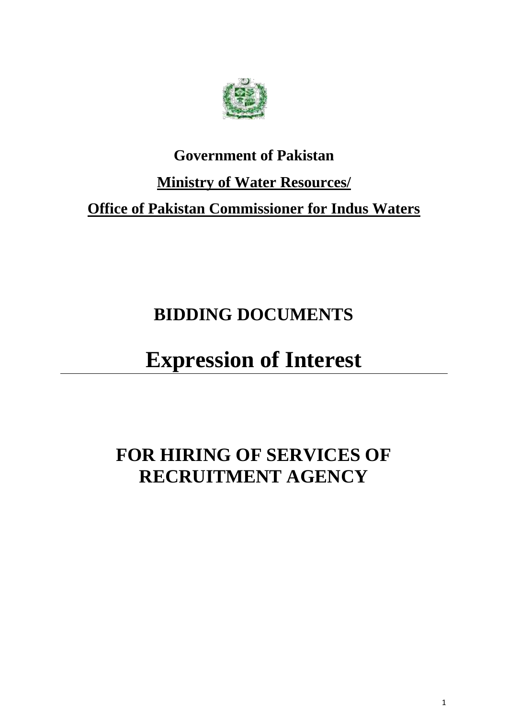

## **Government of Pakistan Ministry of Water Resources/ Office of Pakistan Commissioner for Indus Waters**

## **BIDDING DOCUMENTS**

# **Expression of Interest**

## **FOR HIRING OF SERVICES OF RECRUITMENT AGENCY**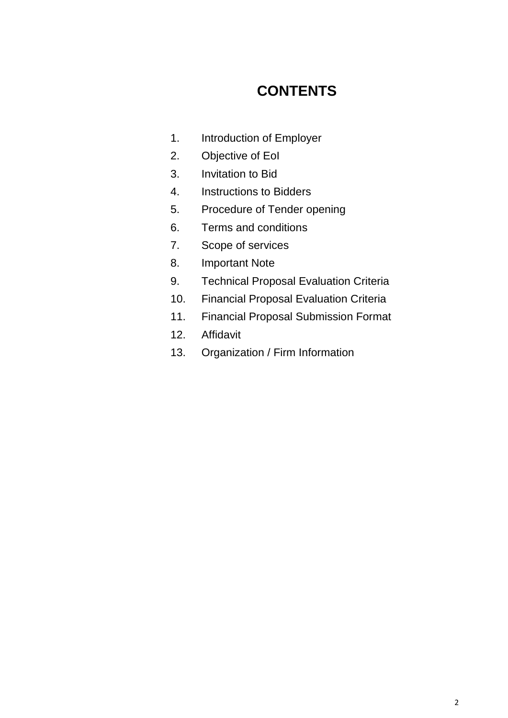### **CONTENTS**

- 1. Introduction of Employer
- 2. Objective of EoI
- 3. Invitation to Bid
- 4. Instructions to Bidders
- 5. Procedure of Tender opening
- 6. Terms and conditions
- 7. Scope of services
- 8. Important Note
- 9. Technical Proposal Evaluation Criteria
- 10. Financial Proposal Evaluation Criteria
- 11. Financial Proposal Submission Format
- 12. Affidavit
- 13. Organization / Firm Information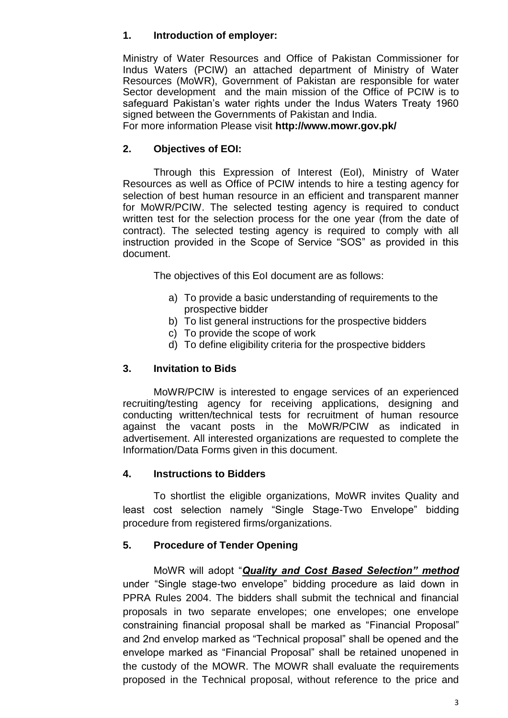#### **1. Introduction of employer:**

Ministry of Water Resources and Office of Pakistan Commissioner for Indus Waters (PCIW) an attached department of Ministry of Water Resources (MoWR), Government of Pakistan are responsible for water Sector development and the main mission of the Office of PCIW is to safeguard Pakistan's water rights under the Indus Waters Treaty 1960 signed between the Governments of Pakistan and India.

For more information Please visit **http://www.mowr.gov.pk/**

#### **2. Objectives of EOI:**

Through this Expression of Interest (EoI), Ministry of Water Resources as well as Office of PCIW intends to hire a testing agency for selection of best human resource in an efficient and transparent manner for MoWR/PCIW. The selected testing agency is required to conduct written test for the selection process for the one year (from the date of contract). The selected testing agency is required to comply with all instruction provided in the Scope of Service "SOS" as provided in this document.

The objectives of this EoI document are as follows:

- a) To provide a basic understanding of requirements to the prospective bidder
- b) To list general instructions for the prospective bidders
- c) To provide the scope of work
- d) To define eligibility criteria for the prospective bidders

#### **3. Invitation to Bids**

MoWR/PCIW is interested to engage services of an experienced recruiting/testing agency for receiving applications, designing and conducting written/technical tests for recruitment of human resource against the vacant posts in the MoWR/PCIW as indicated in advertisement. All interested organizations are requested to complete the Information/Data Forms given in this document.

#### **4. Instructions to Bidders**

To shortlist the eligible organizations, MoWR invites Quality and least cost selection namely "Single Stage-Two Envelope" bidding procedure from registered firms/organizations.

#### **5. Procedure of Tender Opening**

MoWR will adopt "*Quality and Cost Based Selection" method* under "Single stage-two envelope" bidding procedure as laid down in PPRA Rules 2004. The bidders shall submit the technical and financial proposals in two separate envelopes; one envelopes; one envelope constraining financial proposal shall be marked as "Financial Proposal" and 2nd envelop marked as "Technical proposal" shall be opened and the envelope marked as "Financial Proposal" shall be retained unopened in the custody of the MOWR. The MOWR shall evaluate the requirements proposed in the Technical proposal, without reference to the price and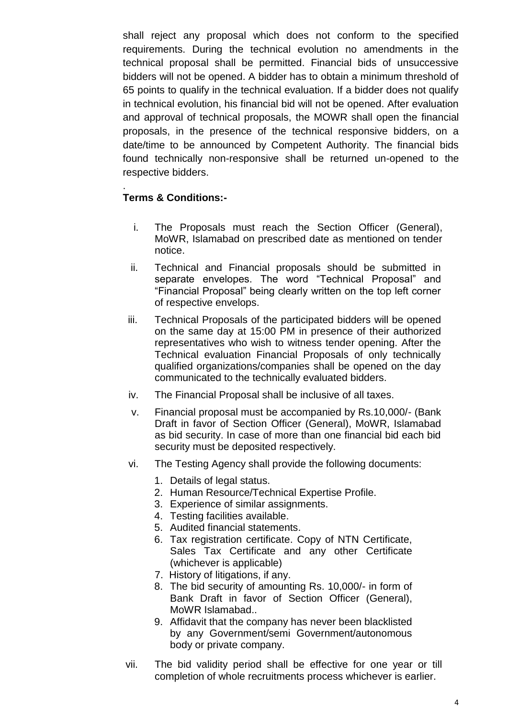shall reject any proposal which does not conform to the specified requirements. During the technical evolution no amendments in the technical proposal shall be permitted. Financial bids of unsuccessive bidders will not be opened. A bidder has to obtain a minimum threshold of 65 points to qualify in the technical evaluation. If a bidder does not qualify in technical evolution, his financial bid will not be opened. After evaluation and approval of technical proposals, the MOWR shall open the financial proposals, in the presence of the technical responsive bidders, on a date/time to be announced by Competent Authority. The financial bids found technically non-responsive shall be returned un-opened to the respective bidders.

#### . **Terms & Conditions:-**

- i. The Proposals must reach the Section Officer (General), MoWR, Islamabad on prescribed date as mentioned on tender notice.
- ii. Technical and Financial proposals should be submitted in separate envelopes. The word "Technical Proposal" and "Financial Proposal" being clearly written on the top left corner of respective envelops.
- iii. Technical Proposals of the participated bidders will be opened on the same day at 15:00 PM in presence of their authorized representatives who wish to witness tender opening. After the Technical evaluation Financial Proposals of only technically qualified organizations/companies shall be opened on the day communicated to the technically evaluated bidders.
- iv. The Financial Proposal shall be inclusive of all taxes.
- v. Financial proposal must be accompanied by Rs.10,000/- (Bank Draft in favor of Section Officer (General), MoWR, Islamabad as bid security. In case of more than one financial bid each bid security must be deposited respectively.
- vi. The Testing Agency shall provide the following documents:
	- 1. Details of legal status.
	- 2. Human Resource/Technical Expertise Profile.
	- 3. Experience of similar assignments.
	- 4. Testing facilities available.
	- 5. Audited financial statements.
	- 6. Tax registration certificate. Copy of NTN Certificate, Sales Tax Certificate and any other Certificate (whichever is applicable)
	- 7. History of litigations, if any.
	- 8. The bid security of amounting Rs. 10,000/- in form of Bank Draft in favor of Section Officer (General), MoWR Islamabad..
	- 9. Affidavit that the company has never been blacklisted by any Government/semi Government/autonomous body or private company.
- vii. The bid validity period shall be effective for one year or till completion of whole recruitments process whichever is earlier.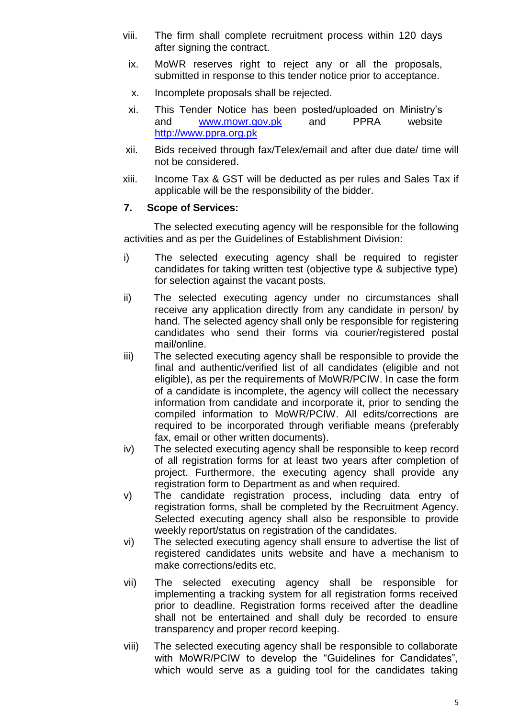- viii. The firm shall complete recruitment process within 120 days after signing the contract.
	- ix. MoWR reserves right to reject any or all the proposals, submitted in response to this tender notice prior to acceptance.
	- x. Incomplete proposals shall be rejected.
	- xi. This Tender Notice has been posted/uploaded on Ministry's and [www.mowr.gov.pk](http://www.mowr.gov.pk/) and PPRA website [http://www.ppra.org.pk](http://www.ppra.org.pk/)
- xii. Bids received through fax/Telex/email and after due date/ time will not be considered.
- xiii. Income Tax & GST will be deducted as per rules and Sales Tax if applicable will be the responsibility of the bidder.

#### **7. Scope of Services:**

The selected executing agency will be responsible for the following activities and as per the Guidelines of Establishment Division:

- i) The selected executing agency shall be required to register candidates for taking written test (objective type & subjective type) for selection against the vacant posts.
- ii) The selected executing agency under no circumstances shall receive any application directly from any candidate in person/ by hand. The selected agency shall only be responsible for registering candidates who send their forms via courier/registered postal mail/online.
- iii) The selected executing agency shall be responsible to provide the final and authentic/verified list of all candidates (eligible and not eligible), as per the requirements of MoWR/PCIW. In case the form of a candidate is incomplete, the agency will collect the necessary information from candidate and incorporate it, prior to sending the compiled information to MoWR/PCIW. All edits/corrections are required to be incorporated through verifiable means (preferably fax, email or other written documents).
- iv) The selected executing agency shall be responsible to keep record of all registration forms for at least two years after completion of project. Furthermore, the executing agency shall provide any registration form to Department as and when required.
- v) The candidate registration process, including data entry of registration forms, shall be completed by the Recruitment Agency. Selected executing agency shall also be responsible to provide weekly report/status on registration of the candidates.
- vi) The selected executing agency shall ensure to advertise the list of registered candidates units website and have a mechanism to make corrections/edits etc.
- vii) The selected executing agency shall be responsible for implementing a tracking system for all registration forms received prior to deadline. Registration forms received after the deadline shall not be entertained and shall duly be recorded to ensure transparency and proper record keeping.
- viii) The selected executing agency shall be responsible to collaborate with MoWR/PCIW to develop the "Guidelines for Candidates", which would serve as a guiding tool for the candidates taking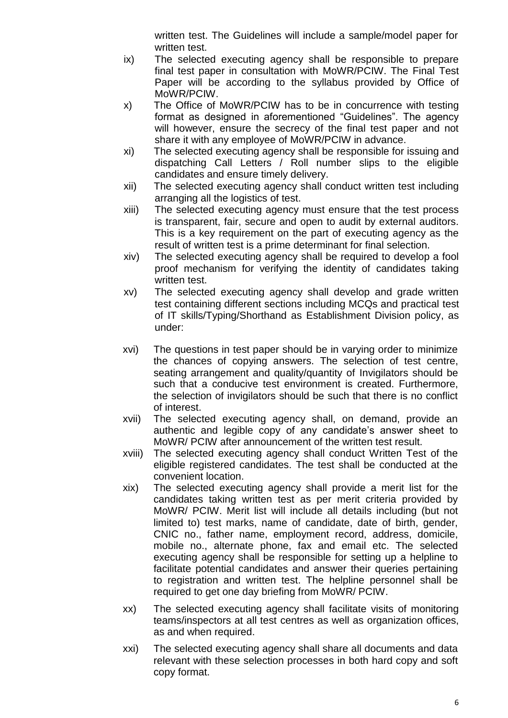written test. The Guidelines will include a sample/model paper for written test.

- ix) The selected executing agency shall be responsible to prepare final test paper in consultation with MoWR/PCIW. The Final Test Paper will be according to the syllabus provided by Office of MoWR/PCIW.
- x) The Office of MoWR/PCIW has to be in concurrence with testing format as designed in aforementioned "Guidelines". The agency will however, ensure the secrecy of the final test paper and not share it with any employee of MoWR/PCIW in advance.
- xi) The selected executing agency shall be responsible for issuing and dispatching Call Letters / Roll number slips to the eligible candidates and ensure timely delivery.
- xii) The selected executing agency shall conduct written test including arranging all the logistics of test.
- xiii) The selected executing agency must ensure that the test process is transparent, fair, secure and open to audit by external auditors. This is a key requirement on the part of executing agency as the result of written test is a prime determinant for final selection.
- xiv) The selected executing agency shall be required to develop a fool proof mechanism for verifying the identity of candidates taking written test.
- xv) The selected executing agency shall develop and grade written test containing different sections including MCQs and practical test of IT skills/Typing/Shorthand as Establishment Division policy, as under:
- xvi) The questions in test paper should be in varying order to minimize the chances of copying answers. The selection of test centre, seating arrangement and quality/quantity of Invigilators should be such that a conducive test environment is created. Furthermore, the selection of invigilators should be such that there is no conflict of interest.
- xvii) The selected executing agency shall, on demand, provide an authentic and legible copy of any candidate's answer sheet to MoWR/ PCIW after announcement of the written test result.
- xviii) The selected executing agency shall conduct Written Test of the eligible registered candidates. The test shall be conducted at the convenient location.
- xix) The selected executing agency shall provide a merit list for the candidates taking written test as per merit criteria provided by MoWR/ PCIW. Merit list will include all details including (but not limited to) test marks, name of candidate, date of birth, gender, CNIC no., father name, employment record, address, domicile, mobile no., alternate phone, fax and email etc. The selected executing agency shall be responsible for setting up a helpline to facilitate potential candidates and answer their queries pertaining to registration and written test. The helpline personnel shall be required to get one day briefing from MoWR/ PCIW.
- xx) The selected executing agency shall facilitate visits of monitoring teams/inspectors at all test centres as well as organization offices, as and when required.
- xxi) The selected executing agency shall share all documents and data relevant with these selection processes in both hard copy and soft copy format.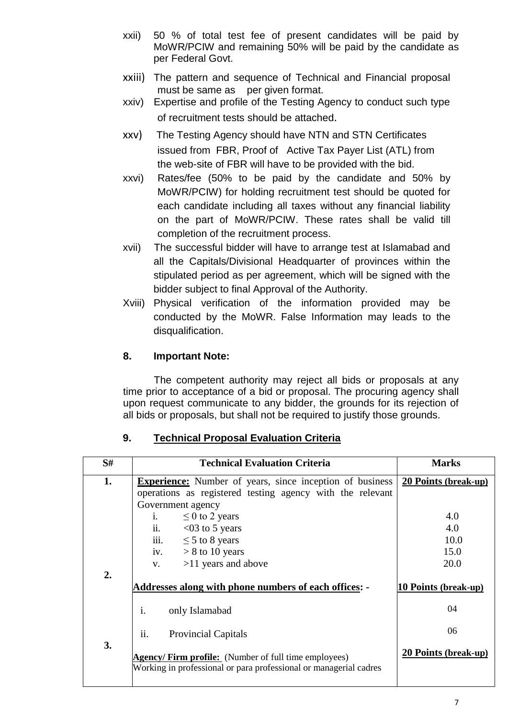- xxii) 50 % of total test fee of present candidates will be paid by MoWR/PCIW and remaining 50% will be paid by the candidate as per Federal Govt.
- xxiii) The pattern and sequence of Technical and Financial proposal must be same as per given format.
- xxiv) Expertise and profile of the Testing Agency to conduct such type of recruitment tests should be attached.
- xxv) The Testing Agency should have NTN and STN Certificates issued from FBR, Proof of Active Tax Payer List (ATL) from the web-site of FBR will have to be provided with the bid.
- xxvi) Rates/fee (50% to be paid by the candidate and 50% by MoWR/PCIW) for holding recruitment test should be quoted for each candidate including all taxes without any financial liability on the part of MoWR/PCIW. These rates shall be valid till completion of the recruitment process.
- xvii) The successful bidder will have to arrange test at Islamabad and all the Capitals/Divisional Headquarter of provinces within the stipulated period as per agreement, which will be signed with the bidder subject to final Approval of the Authority.
- Xviii) Physical verification of the information provided may be conducted by the MoWR. False Information may leads to the disqualification.

#### **8. Important Note:**

The competent authority may reject all bids or proposals at any time prior to acceptance of a bid or proposal. The procuring agency shall upon request communicate to any bidder, the grounds for its rejection of all bids or proposals, but shall not be required to justify those grounds.

| S#               | <b>Technical Evaluation Criteria</b>                                                                                             | <b>Marks</b>                |
|------------------|----------------------------------------------------------------------------------------------------------------------------------|-----------------------------|
| 1.               | <b>Experience:</b> Number of years, since inception of business                                                                  | 20 Points (break-up)        |
|                  | operations as registered testing agency with the relevant                                                                        |                             |
|                  | Government agency                                                                                                                |                             |
|                  | i. $\leq 0$ to 2 years                                                                                                           | 4.0                         |
|                  | ii. $< 03$ to 5 years                                                                                                            | 4.0                         |
|                  | iii. $\leq 5$ to 8 years                                                                                                         | 10.0                        |
|                  | iv. $> 8$ to 10 years                                                                                                            | 15.0                        |
|                  | $>11$ years and above<br>V.                                                                                                      | 20.0                        |
| $\overline{2}$ . | Addresses along with phone numbers of each offices: -                                                                            | 10 Points (break-up)        |
|                  | $\mathbf{i}$ .<br>only Islamabad                                                                                                 | 04                          |
| 3.               | ii.<br><b>Provincial Capitals</b>                                                                                                | 06                          |
|                  | <b>Agency/Firm profile:</b> (Number of full time employees)<br>Working in professional or para professional or managerial cadres | <b>20 Points (break-up)</b> |

#### **9. Technical Proposal Evaluation Criteria**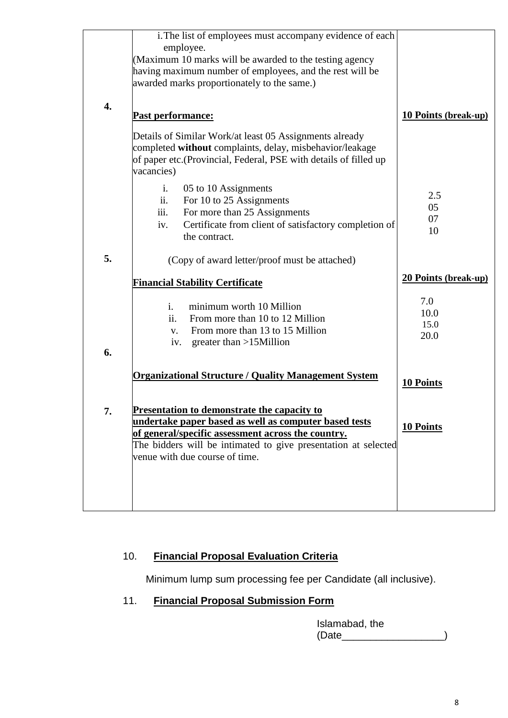| 4. | i. The list of employees must accompany evidence of each<br>employee.<br>(Maximum 10 marks will be awarded to the testing agency<br>having maximum number of employees, and the rest will be<br>awarded marks proportionately to the same.) |                             |
|----|---------------------------------------------------------------------------------------------------------------------------------------------------------------------------------------------------------------------------------------------|-----------------------------|
|    | Past performance:                                                                                                                                                                                                                           | <b>10 Points (break-up)</b> |
|    | Details of Similar Work/at least 05 Assignments already<br>completed without complaints, delay, misbehavior/leakage<br>of paper etc. (Provincial, Federal, PSE with details of filled up<br>vacancies)                                      |                             |
|    | i.<br>05 to 10 Assignments                                                                                                                                                                                                                  |                             |
|    | For 10 to 25 Assignments<br>ii.                                                                                                                                                                                                             | 2.5                         |
|    | iii.<br>For more than 25 Assignments                                                                                                                                                                                                        | 05                          |
|    | Certificate from client of satisfactory completion of<br>iv.                                                                                                                                                                                | 07                          |
|    | the contract.                                                                                                                                                                                                                               | 10                          |
| 5. | (Copy of award letter/proof must be attached)                                                                                                                                                                                               |                             |
|    |                                                                                                                                                                                                                                             |                             |
|    | <b>Financial Stability Certificate</b>                                                                                                                                                                                                      | <b>20 Points (break-up)</b> |
| 6. | $\mathbf{i}$ .<br>minimum worth 10 Million<br>ii.<br>From more than 10 to 12 Million<br>From more than 13 to 15 Million<br>$V_{\star}$<br>iv.<br>greater than $>15$ Million                                                                 | 7.0<br>10.0<br>15.0<br>20.0 |
|    | <b>Organizational Structure / Quality Management System</b>                                                                                                                                                                                 | <b>10 Points</b>            |
| 7. | <b>Presentation to demonstrate the capacity to</b><br>undertake paper based as well as computer based tests                                                                                                                                 |                             |
|    | of general/specific assessment across the country.                                                                                                                                                                                          | 10 Points                   |
|    | The bidders will be intimated to give presentation at selected                                                                                                                                                                              |                             |
|    | venue with due course of time.                                                                                                                                                                                                              |                             |
|    |                                                                                                                                                                                                                                             |                             |
|    |                                                                                                                                                                                                                                             |                             |
|    |                                                                                                                                                                                                                                             |                             |

#### 10. **Financial Proposal Evaluation Criteria**

Minimum lump sum processing fee per Candidate (all inclusive).

#### 11. **Financial Proposal Submission Form**

Islamabad, the (Date\_\_\_\_\_\_\_\_\_\_\_\_\_\_\_\_\_\_\_\_\_\_)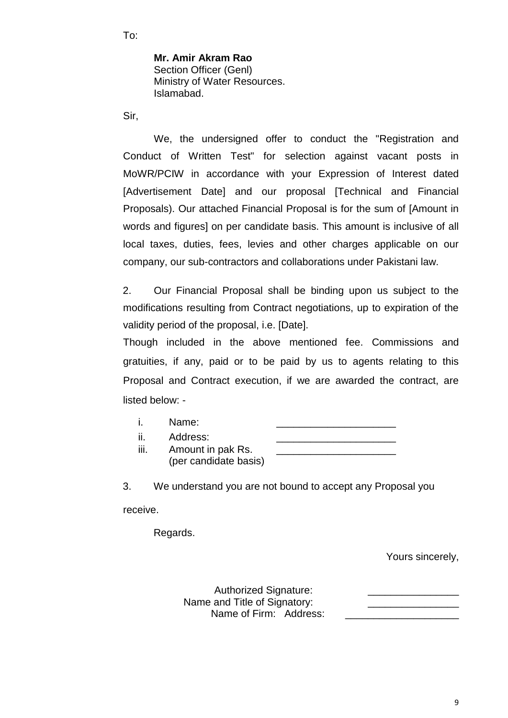To:

**Mr. Amir Akram Rao** Section Officer (Genl) Ministry of Water Resources. Islamabad.

Sir,

We, the undersigned offer to conduct the "Registration and Conduct of Written Test" for selection against vacant posts in MoWR/PCIW in accordance with your Expression of Interest dated [Advertisement Date] and our proposal [Technical and Financial Proposals). Our attached Financial Proposal is for the sum of [Amount in words and figures] on per candidate basis. This amount is inclusive of all local taxes, duties, fees, levies and other charges applicable on our company, our sub-contractors and collaborations under Pakistani law.

2. Our Financial Proposal shall be binding upon us subject to the modifications resulting from Contract negotiations, up to expiration of the validity period of the proposal, i.e. [Date].

Though included in the above mentioned fee. Commissions and gratuities, if any, paid or to be paid by us to agents relating to this Proposal and Contract execution, if we are awarded the contract, are listed below: -

|      | Name:                 |  |
|------|-----------------------|--|
| ji.  | Address:              |  |
| III. | Amount in pak Rs.     |  |
|      | (per candidate basis) |  |

3. We understand you are not bound to accept any Proposal you

receive.

Regards.

Yours sincerely,

Authorized Signature: Name and Title of Signatory: Name of Firm: Address: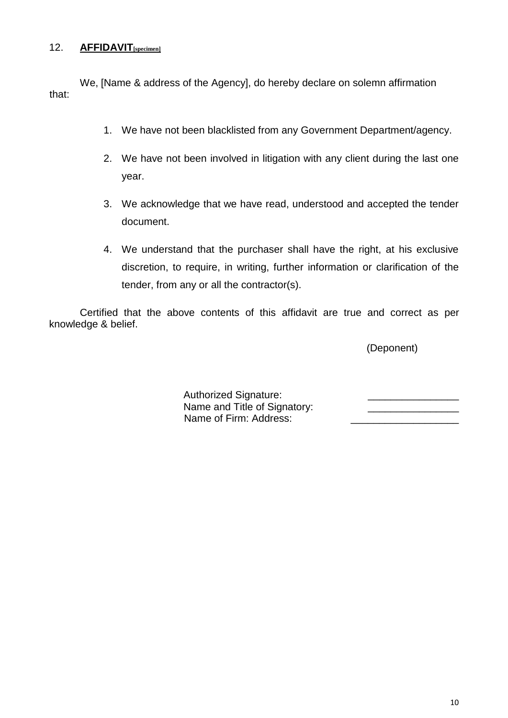#### 12. **AFFIDAVIT[specimen]**

We, [Name & address of the Agency], do hereby declare on solemn affirmation that:

- 1. We have not been blacklisted from any Government Department/agency.
- 2. We have not been involved in litigation with any client during the last one year.
- 3. We acknowledge that we have read, understood and accepted the tender document.
- 4. We understand that the purchaser shall have the right, at his exclusive discretion, to require, in writing, further information or clarification of the tender, from any or all the contractor(s).

Certified that the above contents of this affidavit are true and correct as per knowledge & belief.

(Deponent)

Authorized Signature: Name and Title of Signatory: Name of Firm: Address: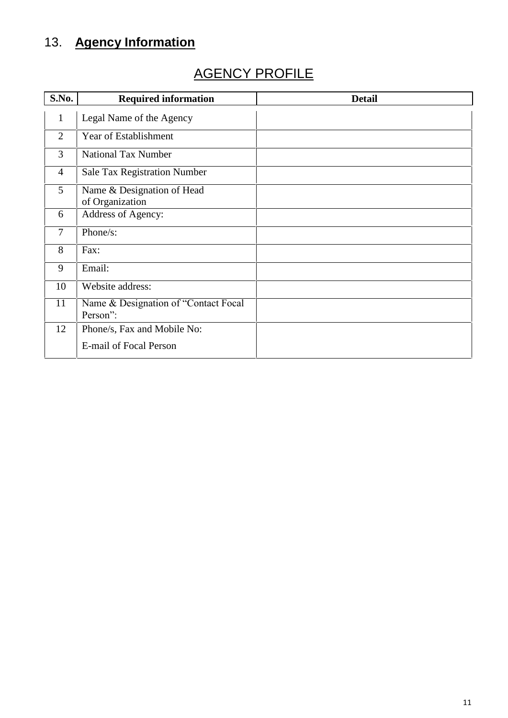### 13. **Agency Information**

### AGENCY PROFILE

| S.No.          | <b>Required information</b>                   | <b>Detail</b> |
|----------------|-----------------------------------------------|---------------|
| $\mathbf{1}$   | Legal Name of the Agency                      |               |
| $\overline{2}$ | Year of Establishment                         |               |
| 3              | <b>National Tax Number</b>                    |               |
| $\overline{4}$ | <b>Sale Tax Registration Number</b>           |               |
| 5              | Name & Designation of Head<br>of Organization |               |
| 6              | Address of Agency:                            |               |
| 7              | Phone/s:                                      |               |
| 8              | Fax:                                          |               |
| 9              | Email:                                        |               |
| 10             | Website address:                              |               |
| 11             | Name & Designation of "Contact Focal          |               |
|                | Person":                                      |               |
| 12             | Phone/s, Fax and Mobile No:                   |               |
|                | E-mail of Focal Person                        |               |